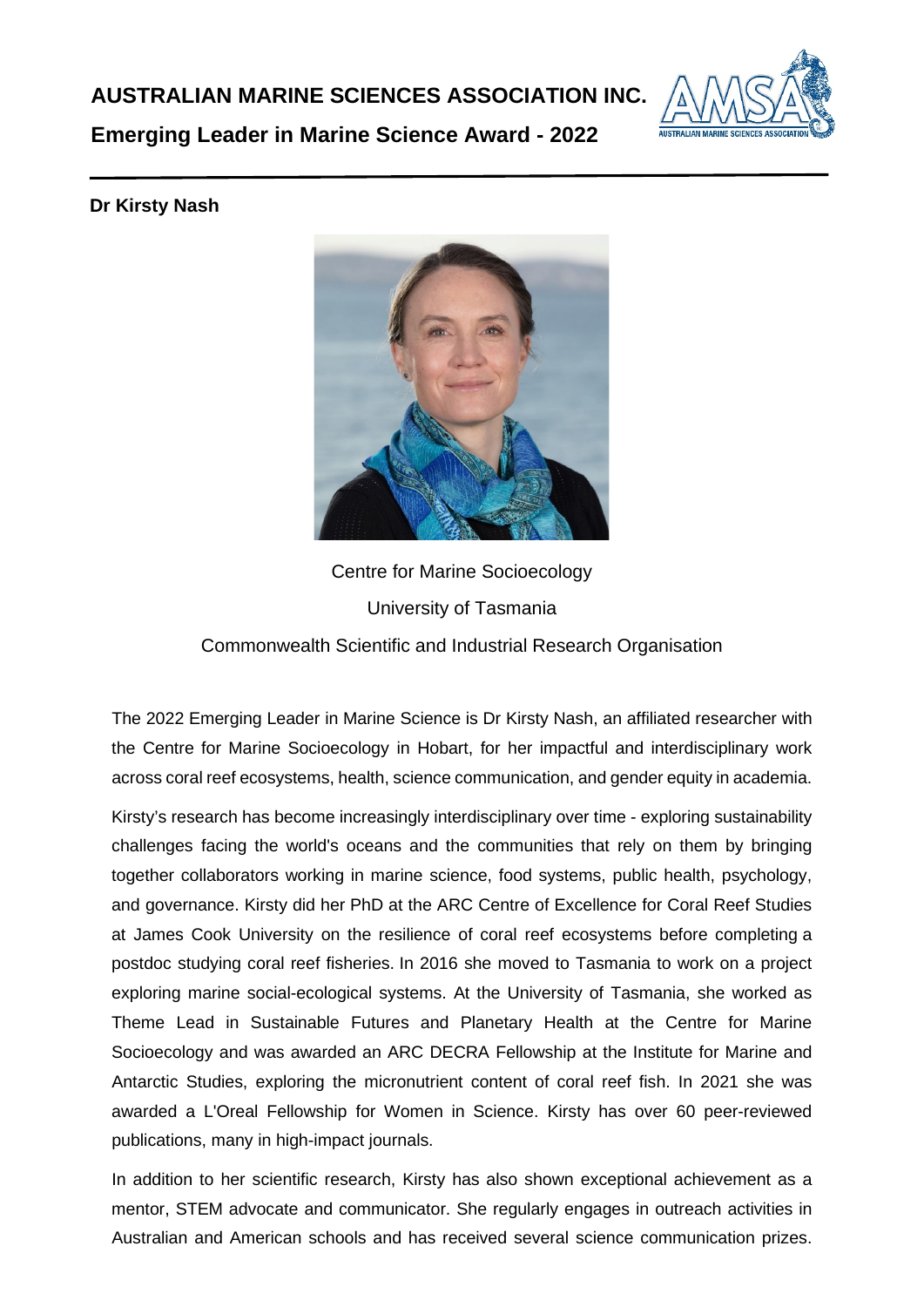

**Emerging Leader in Marine Science Award - 2022**

## **Dr Kirsty Nash**



Centre for Marine Socioecology University of Tasmania Commonwealth Scientific and Industrial Research Organisation

The 2022 Emerging Leader in Marine Science is Dr Kirsty Nash, an affiliated researcher with the Centre for Marine Socioecology in Hobart, for her impactful and interdisciplinary work across coral reef ecosystems, health, science communication, and gender equity in academia.

Kirsty's research has become increasingly interdisciplinary over time - exploring sustainability challenges facing the world's oceans and the communities that rely on them by bringing together collaborators working in marine science, food systems, public health, psychology, and governance. Kirsty did her PhD at the ARC Centre of Excellence for Coral Reef Studies at James Cook University on the resilience of coral reef ecosystems before completing a postdoc studying coral reef fisheries. In 2016 she moved to Tasmania to work on a project exploring marine social-ecological systems. At the University of Tasmania, she worked as Theme Lead in Sustainable Futures and Planetary Health at the Centre for Marine Socioecology and was awarded an ARC DECRA Fellowship at the Institute for Marine and Antarctic Studies, exploring the micronutrient content of coral reef fish. In 2021 she was awarded a L'Oreal Fellowship for Women in Science. Kirsty has over 60 peer-reviewed publications, many in high-impact journals.

In addition to her scientific research, Kirsty has also shown exceptional achievement as a mentor, STEM advocate and communicator. She regularly engages in outreach activities in Australian and American schools and has received several science communication prizes.